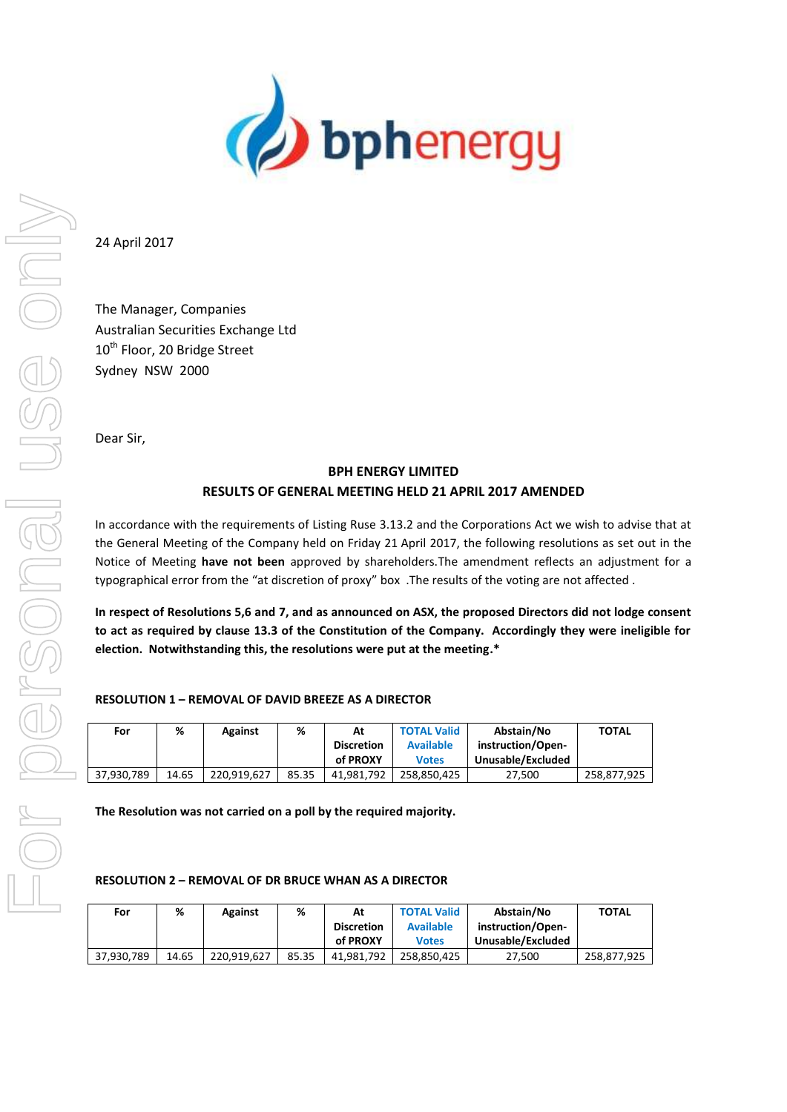

24 April 2017

The Manager, Companies Australian Securities Exchange Ltd 10<sup>th</sup> Floor, 20 Bridge Street Sydney NSW 2000

Dear Sir,

# **BPH ENERGY LIMITED RESULTS OF GENERAL MEETING HELD 21 APRIL 2017 AMENDED**

In accordance with the requirements of Listing Ruse 3.13.2 and the Corporations Act we wish to advise that at the General Meeting of the Company held on Friday 21 April 2017, the following resolutions as set out in the Notice of Meeting **have not been** approved by shareholders.The amendment reflects an adjustment for a typographical error from the "at discretion of proxy" box .The results of the voting are not affected .

**In respect of Resolutions 5,6 and 7, and as announced on ASX, the proposed Directors did not lodge consent to act as required by clause 13.3 of the Constitution of the Company. Accordingly they were ineligible for election. Notwithstanding this, the resolutions were put at the meeting.\***

# **RESOLUTION 1 – REMOVAL OF DAVID BREEZE AS A DIRECTOR**

| For        | %     | <b>Against</b> | %     | At                | <b>TOTAL Valid</b> | Abstain/No        | <b>TOTAL</b> |
|------------|-------|----------------|-------|-------------------|--------------------|-------------------|--------------|
|            |       |                |       | <b>Discretion</b> | <b>Available</b>   | instruction/Open- |              |
|            |       |                |       | of PROXY          | <b>Votes</b>       | Unusable/Excluded |              |
| 37.930.789 | 14.65 | 220.919.627    | 85.35 | 41.981.792        | 258.850.425        | 27.500            | 258.877.925  |

**The Resolution was not carried on a poll by the required majority.**

#### **RESOLUTION 2 – REMOVAL OF DR BRUCE WHAN AS A DIRECTOR**

| For        | %     | <b>Against</b> | %     | At                | <b>TOTAL Valid</b> | Abstain/No        | <b>TOTAL</b> |
|------------|-------|----------------|-------|-------------------|--------------------|-------------------|--------------|
|            |       |                |       | <b>Discretion</b> | <b>Available</b>   | instruction/Open- |              |
|            |       |                |       | of PROXY          | <b>Votes</b>       | Unusable/Excluded |              |
| 37.930.789 | 14.65 | 220.919.627    | 85.35 | 41.981.792        | 258.850.425        | 27.500            | 258,877,925  |